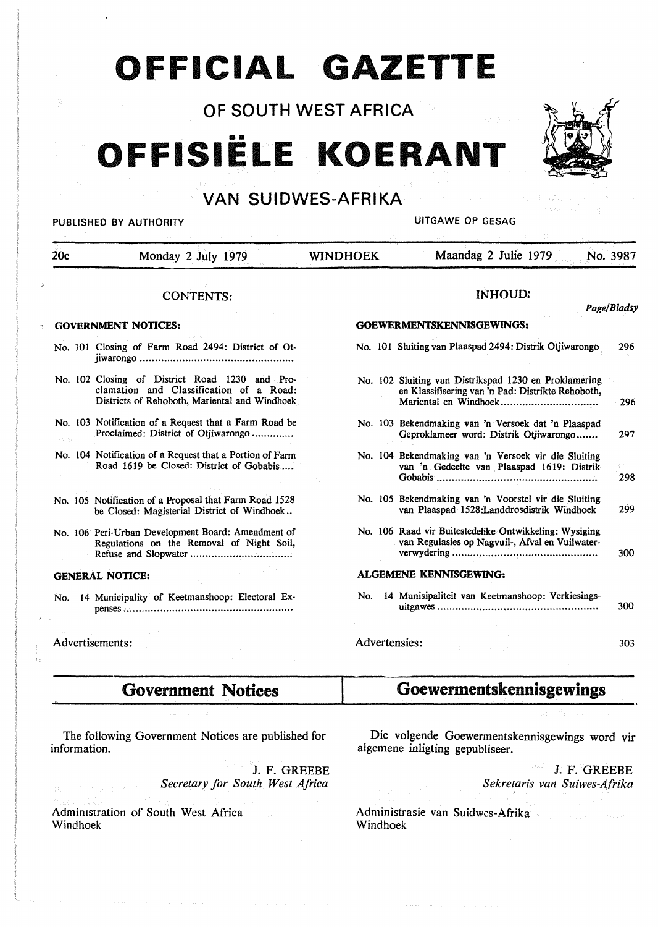## **OFFICIAL GAZETTE**

OF SOUTH WEST AFRICA

# •• **OFFISIELE KOERANT**



## PUBLISHED BY AUTHORITY **EXECUTE A SECOND TEST OF SECOND PUBLISHED BY AUTHORITY**

i nyayi soo sii

| 20c                        | Monday 2 July 1979                                                                                                                         | <b>WINDHOEK</b>                          | Maandag 2 Julie 1979<br>No. 3987                                                                           |     |
|----------------------------|--------------------------------------------------------------------------------------------------------------------------------------------|------------------------------------------|------------------------------------------------------------------------------------------------------------|-----|
|                            | <b>CONTENTS:</b>                                                                                                                           |                                          | <b>INHOUD:</b>                                                                                             |     |
| <b>GOVERNMENT NOTICES:</b> |                                                                                                                                            | Page/Bladsy<br>GOEWERMENTSKENNISGEWINGS: |                                                                                                            |     |
|                            | No. 101 Closing of Farm Road 2494: District of Ot-                                                                                         |                                          | No. 101 Sluiting van Plaaspad 2494: Distrik Otjiwarongo                                                    | 296 |
|                            | No. 102 Closing of District Road 1230 and Pro-<br>clamation and Classification of a Road:<br>Districts of Rehoboth, Mariental and Windhoek |                                          | No. 102 Sluiting van Distrikspad 1230 en Proklamering<br>en Klassifisering van 'n Pad: Distrikte Rehoboth, | 296 |
|                            | No. 103 Notification of a Request that a Farm Road be<br>Proclaimed: District of Otjiwarongo                                               |                                          | No. 103 Bekendmaking van 'n Versoek dat 'n Plaaspad<br>Geproklameer word: Distrik Otjiwarongo              | 297 |
|                            | No. 104 Notification of a Request that a Portion of Farm<br>Road 1619 be Closed: District of Gobabis                                       |                                          | No. 104 Bekendmaking van 'n Versoek vir die Sluiting<br>van 'n Gedeelte van Plaaspad 1619: Distrik         | 298 |
|                            | No. 105 Notification of a Proposal that Farm Road 1528<br>be Closed: Magisterial District of Windhoek                                      |                                          | No. 105 Bekendmaking van 'n Voorstel vir die Sluiting<br>van Plaaspad 1528: Landdrosdistrik Windhoek       | 299 |
|                            | No. 106 Peri-Urban Development Board: Amendment of<br>Regulations on the Removal of Night Soil,                                            |                                          | No. 106 Raad vir Buitestedelike Ontwikkeling: Wysiging<br>van Regulasies op Nagvuil-, Afval en Vuilwater-  | 300 |
|                            | <b>GENERAL NOTICE:</b>                                                                                                                     |                                          | <b>ALGEMENE KENNISGEWING:</b>                                                                              |     |
| No.                        | 14 Municipality of Keetmanshoop: Electoral Ex-                                                                                             | No.                                      | 14 Munisipaliteit van Keetmanshoop: Verkiesings-                                                           | 300 |
| Advertisements:            |                                                                                                                                            | Advertensies:                            |                                                                                                            | 303 |
|                            | <b>Government Notices</b>                                                                                                                  |                                          | Goewermentskennisgewings                                                                                   |     |

The following Government Notices are published for information.

> J. F. GREEBE *Secretary for South West Africa*

Administration of South West Africa Windhoek

Die volgende Goewermentskennisgewings word vir algemene inligting gepubliseer.

> J. F. GREEBE *Sekretaris van Suiwes-Afrika*

Administrasie van Suidwes-Afrika Windhoek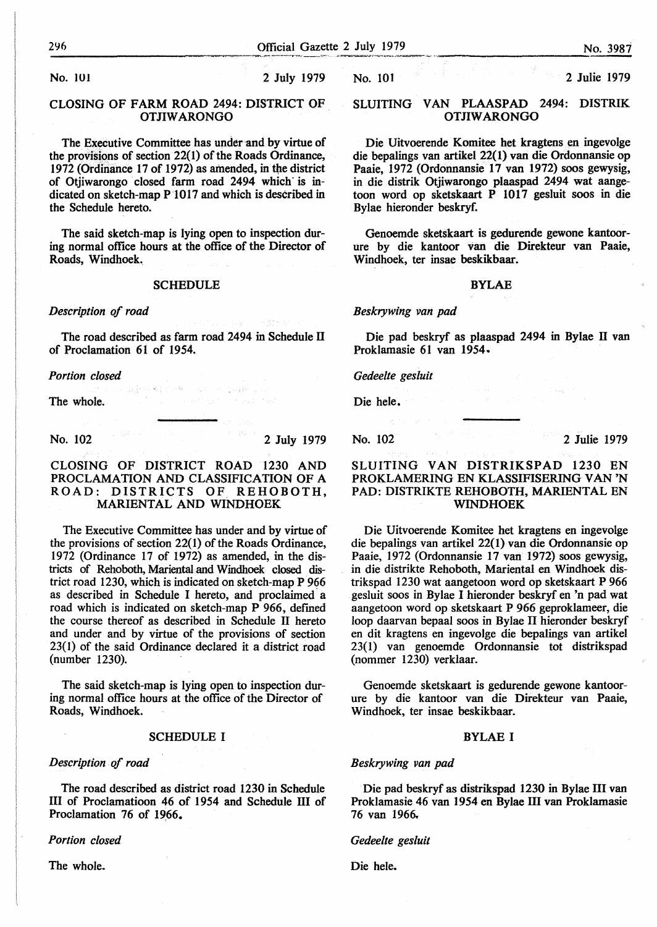**No.** IOI 2 July 1979

#### CLOSING OF FARM ROAD 2494: DISTRICT OF OTJIW ARONGO

The Executive Committee has under and by virtue of the provisions of section 22(1) of the Roads Ordinance, 1972 (Ordinance 17 of 1972) as amended, in the district of Otjiwarongo closed farm road 2494 which· is indicated on sketch-map P 1017 and which is described in the Schedule hereto.

The said sketch-map is lying open to inspection during normal office hours at the office of the Director of Roads, Windhoek.

#### **SCHEDULE**

#### *Description of road*

The road described as farm road 2494 in Schedule Il of Proclamation 61 of 1954.

22社中税 的母子

#### *Portion closed*

The whole.

No. 102 2 July 1979

#### CLOSING OF DISTRICT ROAD 1230 AND PROCLAMATION AND CLASSIFICATION OF A ROAD: DISTRICTS OF REHOBOTH, MARIENTAL AND WINDHOEK

The Executive Committee has under and by virtue of the provisions of section 22(1) of the Roads Ordinance, 1972 (Ordinance 17 of 1972) as amended, in the districts of Rehoboth, Mariental and Windhoek closed district road 1230, which is indicated on sketch-map P 966 as described in Schedule I hereto, and proclaimed a road which is indicated on sketch-map P 966, defined the course thereof as described in Schedule Il hereto and under and by virtue of the provisions of section 23( 1) of the said Ordinance declared it a district road (number 1230).

The said sketch-map is lying open to inspection during normal office hours at the office of the Director of Roads, Windhoek.

#### SCHEDULE I

#### *Description of road*

The road described as district road 1230 in Schedule III of Proclamatioon 46 of 1954 and Schedule Ill of Proclamation 76 of 1966.

*Portion closed* 

The whole.

No. 101 2 Julie 1979

#### SLUITING VAN PLAASPAD 2494: DISTRIK OTJIW ARONGO

Die Uitvoerende Komitee het kragtens en ingevolge die bepalings van artikel 22(1) van die Ordonnansie op Paaie, 1972 (Ordonnansie 17 van 1972) soos gewysig, in die distrik Otjiwarongo plaaspad 2494 wat aangetoon word op sketskaart P 1017 gesluit soos in die Bylae hieronder beskryf.

Genoemde sketskaart is gedurende gewone kantoorure by die kantoor van die Direkteur van Paaie, Windhoek, ter insae beskikbaar.

#### BYLAE

*Beskrywing van pad* 

Die pad beskryf as plaaspad 2494 in Bylae Il van Proklamasie 61 van 1954.

*Gedeelte ges/uit* 

Die hele.

No. 102 2 Julie 1979

#### SLUITING **VAN DISTRIKSPAD** 1230 EN **PROKLAMERING EN KLASSIFISERING VAN 'N PAD:** DISTRIKTE **REHOBOTH, MARIENTAL** EN **WINDHOEK**

Die Uitvoerende Komitee het kragtens en ingevolge die bepalings van artikel 22(1) van die Ordonnansie op Paaie, 1972 (Ordonnansie 17 van 1972) soos gewysig, in die distrikte Rehoboth, Mariental en Windhoek distrikspad 1230 wat aangetoon word op sketskaart P 966 gesluit soos in Bylae I hieronder beskryf en 'n pad wat aangetoon word op sketskaart P 966 geproklameer, die loop daarvan bepaal soos in Bylae II hieronder beskryf en dit kragtens en ingevolge die bepalings van artikel 23(1) van genoemde Ordonnansie tot distrikspad (nommer 1230) verklaar.

Genoemde sketskaart is gedurende gewone kantoorure by die kantoor van die Direkteur van Paaie, Windhoek, ter insae beskikbaar.

#### **BYLAE** I

#### *Beskrywing van pad*

Die pad beskryf as distrikspad 1230 in Bylae III van Proklamasie 46 van 1954 en Bylae III van Proklamasie 76 van 1966.,

#### *Gedee/te gesluit*

Die hele.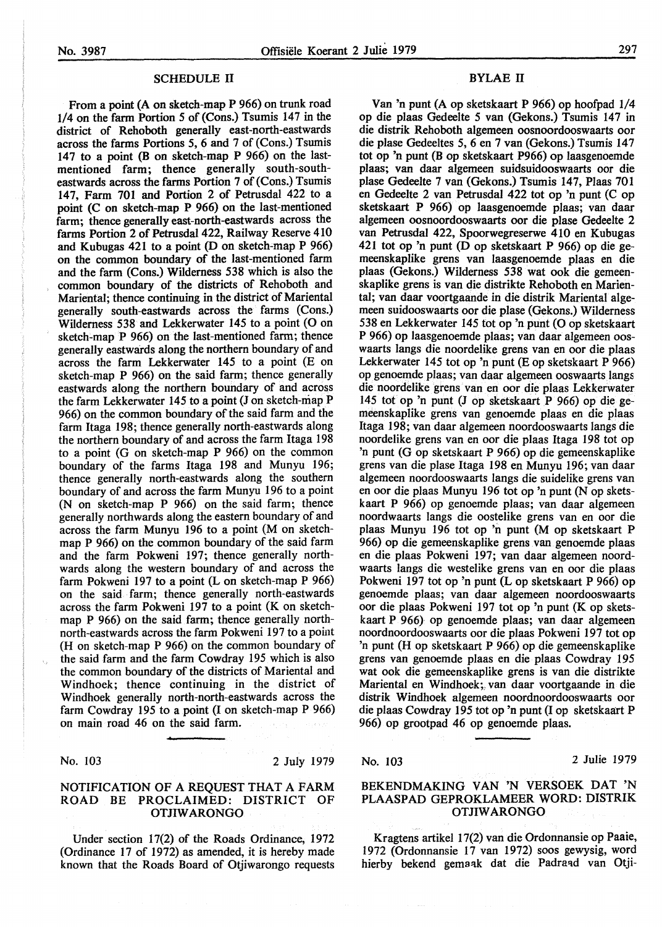#### SCHEDULE II

From a point (A on sketch-map P 966) on trunk road 1/4 on the farm Portion *5* of (Cons.) Tsumis 147 in the district of Rehoboth generally east-north-eastwards across the farms Portions *5,* 6 and 7 of (Cons.) Tsumis 147 to a point (B on sketch-map P 966) on the lastmentioned farm; thence generally south-southeastwards across the farms Portion 7 of (Cons.) Tsumis 147, Farm 701 and Portion 2 of Petrusdal 422 to a point (C on sketch-map P 966) on the last-mentioned farm; thence generally east-north-eastwards across the farms Portion 2 of Petrusdal 422, Railway Reserve 410 and Kubugas 421 to a point (D on sketch-map P 966) on the common boundary of the last-mentioned farm and the farm (Cons.) Wilderness 538 which is also the common boundary of the districts of Rehoboth and Mariental; thence continuing in the district of Mariental generally south-eastwards across the farms (Cons.) Wilderness 538 and Lekkerwater 145 to a point (O on sketch-map P 966) on the last-mentioned farm; thence generally eastwards along the northern boundary of and across the farm Lekkerwater 145 to a point (E on sketch-map **P** 966) on the said farm; thence generally eastwards along the northern boundary of and across the farm Lekkerwater 145 to a point (J on sketch-map P 966) on the common boundary of the said farm and the farm ltaga 198; thence generally north-eastwards along the northern boundary of and across the farm Itaga 198 to a point (G on sketch-map P 966) on the common boundary of the farms Itaga 198 and Munyu 196; thence generally north-eastwards along the southern boundary of and across the farm Munyu 196 to a point (N on sketch-map P 966) on the said farm; thence generally northwards along the eastern boundary of and across the farm Munyu 196 to a point (M on sketchmap P 966) on the common boundary of the said farm and the farm Pokweni 197; thence generally northwards along the western boundary of and across the farm Pokweni 197 to a point  $(L \text{ on sketch-map } P \text{ 966})$ on the said farm; thence generally north-eastwards across the farm Pokweni 197 to a point (K on sketchmap P 966) on the said farm; thence generally northnorth-eastwards across the farm Pokweni 197 to a point (H on sketch-map P 966) on the common boundary of the said farm and the farm Cowdray 195 which is also the common boundary of the districts of Mariental and Windhoek; thence continuing in the district of Windhoek generally north-north-eastwards across the farm Cowdray 195 to a point (I on sketch-map P 966) on main road 46 on the said farm.

No. 103 2 July 1979

#### NOTIFICATION OF A REQUEST THAT A FARM ROAD BE PROCLAIMED: DISTRICT OF OTJIW ARONGO

Under section 17(2) of the Roads Ordinance, 1972 (Ordinance 17 of 1972) as amended, it is hereby made known that the Roads Board of Otjiwarongo requests

#### BYLAE II

Van 'n punt (A op sketskaart P 966) op hoofpad 1/4 op die plaas Gedeelte *5* van (Gekons.) Tsumis 147 in die distrik Rehoboth algemeen oosnoordooswaarts oor die plase Gedeeltes *5,* 6 en 7 van (Gekons.) Tsumis 147 tot op 'n punt (B op sketskaart P966) op laasgenoemde plaas; van daar algemeen suidsuidooswaarts oor die plase Gedeelte 7 van (Gekons.) Tsumis 147, Plaas 701 en Gedeelte 2 van Petrusdal 422 tot op 'n punt (C op sketskaart P 966) op laasgenoemde plaas; van daar algemeen oosnoordooswaarts oor die plase Gedeelte 2 van Petrusdal 422, Spoorwegreserwe **4** IO en Kubugas 421 tot op 'n punt (D op sketskaart **P** 966) op die gemeenskaplike grens van Iaasgenoemde plaas en die plaas (Gekons.) Wilderness 538 wat ook die gemeenskaplike grens is van die distrikte Rehoboth en Mariental; van daar voortgaande in die distrik Mariental algemeen suidooswaarts oor die plase (Gekons.) Wilderness 538 en Lekkerwater 145 tot op 'n punt (O op sketskaart P 966) op Iaasgenoemde plaas; van daar algemeen ooswaarts langs die noordelike grens van en oor die plaas Lekkerwater 145 tot op 'n punt (E op sketskaart P 966) op genoemde plaas; van daar algemeen ooswaarts langs die noordelike grens van en oor die plaas Lekkerwater 145 tot op 'n punt (J op sketskaart P 966) op die gemeenskaplike grens van genoemde plaas en die plaas Itaga 198; van daar algemeen noordooswaarts tangs die noordelike grens van en oor die plaas Itaga 198 tot op 'n punt (G op sketskaart P 966) op die gemeenskaplike grens van die plase Itaga 198 en Munyu 196; van daar algemeen noordooswaarts langs die suidelike grens van en oor die plaas Munyu 196 tot op 'n punt (N op sketskaart **P** 966) op genoemde plaas; van daar algemeen noordwaarts langs die oostelike grens van en oor die plaas Munyu 196 tot op 'n punt (M op sketskaart P 966) op die gemeenskaplike grens van genoemde plaas en die plaas Pokweni 197; van daar algemeen noordwaarts Jangs die westelike grens van en oor die plaas Pokweni 197 tot op 'n punt (Lop sketskaart P 966) op genoemde plaas; van daar algemeen noordooswaarts oor die plaas Pokweni 197 tot op 'n punt (K op sketskaart **P** 966) op genoemde plaas; van daar algemeen noordnoordooswaarts oor die plaas Pokweni 197 tot op 'n punt (H op sketskaart P 966) op die gemeenskaplike grens van genoemde plaas en die plaas Cowdray 195 wat ook die gemeenskaplike grens is van die distrikte Mariental en Windhoek;, van daar voortgaande in die distrik Windhoek algemeen noordnoordooswaarts oor die plaas Cowdray 195 tot op 'n punt (I op sketskaart P 966) op grootpad 46 op genoemde plaas.

No. 103 2 Julie 1979

## BEKENDMAKING VAN 'N VERSOEK DAT 'N PLAASPAD GEPROKLAMEER WORD: DISTRIK OTJIW ARONGO

Kragtens artikel 17(2) van die Ordonnansie op Paaie, 1972 (Ordonnansie 17 van 1972) soos gewysig, word hierby bekend gemaak dat die Padraad van Otji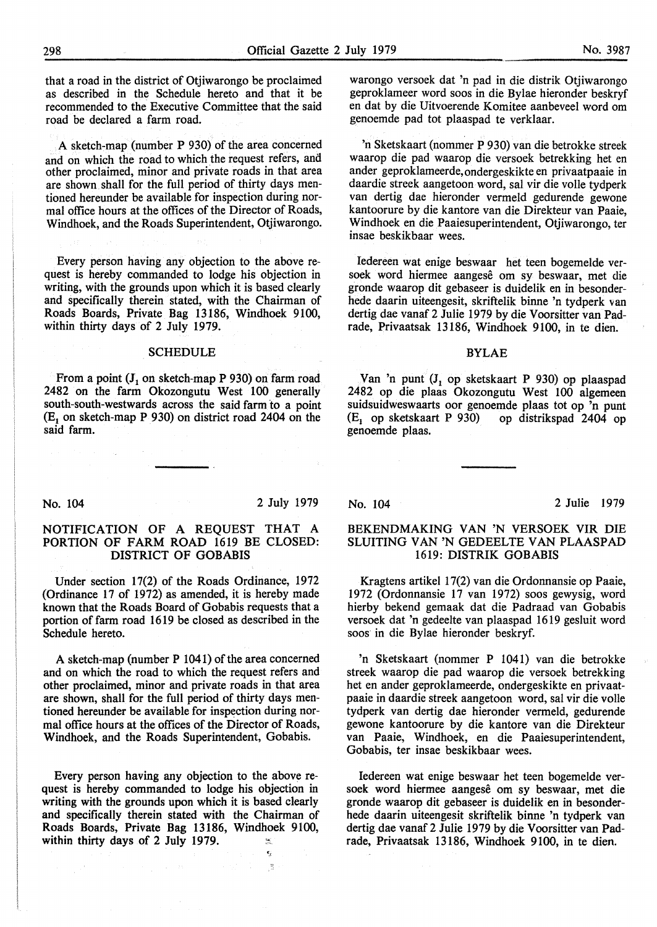that a road in the district of Otjiwarongo be proclaimed as described in the Schedule hereto and that it be recommended to the Executive Committee that the said road be declared a farm road.

A sketch-map (number **P** 930) of the area concerned and on which the road to which the request refers, and other proclaimed, minor and private roads in that area are shown. shall for the full period of thirty days mentioned hereunder be available for inspection during normal office hours at the offices of the Director of Roads, Windhoek, and the Roads Superintendent, Otjiwarongo.

Every person having any objection to the above request is hereby commanded to lodge his objection in writing, with the grounds upon which it is based clearly and specifically therein stated, with the Chairman of Roads Boards, Private Bag 13186, Windhoek 9100, within thirty days of 2 July 1979.

#### SCHEDULE

From a point  $(J_1 \text{ on sketch-map } P \text{ 930})$  on farm road 2482 on the farm Okozongutu West 100 generally south-south-westwards across the said farm to a point  $(E_1$  on sketch-map P 930) on district road 2404 on the said farm.

warongo versoek dat 'n pad in die distrik Otjiwarongo geproklameer word soos in die Bylae hieronder beskryf en dat by die Uitvoerende Komitee aanbeveel word om genoemde pad tot plaaspad te verklaar.

'n Sketskaart (nommer P 930) van die betrokke streek waarop die pad waarop die versoek betrekking bet en ander geproklameerde,ondergeskikte en privaatpaaie in daardie streek aangetoon word, sal vir die volle tydperk van dertig dae hieronder vermeld gedurende gewone kantoorure by die kantore van die Direkteur van Paaie, Windhoek en die Paaiesuperintendent, Otjiwarongo, ter insae beskikbaar wees.

Iedereen wat enige beswaar het teen bogemelde versoek word hiermee aangese om sy beswaar, met die gronde waarop dit gebaseer is duidelik en in besonderhede daarin uiteengesit, skriftelik binne 'n tydperk van dertig dae vanaf 2 Julie 1979 by die Voorsitter van Padrade, Privaatsak 13186, Windhoek 9100, in te dien.

#### BYLAE

Van 'n punt (J<sub>1</sub> op sketskaart P 930) op plaaspad 2482 op die plaas Okozongutu West 100 algemeen suidsuidweswaarts oor genoemde plaas tot op 'n punt (E<sub>1</sub> op sketskaart P 930) op distrikspad 2404 op op distrikspad 2404 op genoemde plaas.

No. 104 2 July 1979

 $\epsilon_j$ 

jä.

#### NOTIFICATION OF A REQUEST THAT A PORTION OF FARM ROAD 1619 BE CLOSED: DISTRICT OF GOBABIS

Under section 17(2) of the Roads Ordinance, 1972 (Ordinance 17 of 1972) as amended, it is hereby made known that the Roads Board of Gobabis requests that a portion of farm road 1619 be closed as described in the Schedule hereto.

A sketch-map (number P 1041) of the area concerned and on which the road to which the request refers and other proclaimed, minor and private roads in that area are shown, shall for the full period of thirty days mentioned hereunder be available for inspection during normal office hours at the offices of the Director of Roads, Windhoek, and the Roads Superintendent, Gobabis.

Every person having any objection to the above request is hereby commanded to lodge his objection in writing with the grounds upon which it is based clearly and specifically therein stated with the Chairman of Roads Boards, Private Bag 13186, Windhoek 9100, within thirty days of 2 July 1979.  $\frac{1}{2}$ 

No. 104 2 Julie 1979

#### **BEKENDMAKING VAN 'N VERSOEK VIR DIE SLUITING VAN 'N** GEDEELTE **VAN PLAASPAD**  1619: **DISTRIK GOBABIS**

Kragtens artikel 17(2) van die Ordonnansie op Paaie, 1972 (Ordonnansie 17 van 1972) soos gewysig, word hierby bekend gemaak dat die Padraad van Gobabis versoek dat 'n gedeelte van plaaspad 1619 gesluit word soos· in die Bylae hieronder beskryf.

'n Sketskaart (nommer P 1041) van die betrokke streek waarop die pad waarop die versoek betrekking het en ander geproklameerde, ondergeskikte en privaatpaaie in daardie streek aangetoon word, sal vir die volle tydperk van dertig dae hieronder vermeld, gedurende gewone kantoorure by die kantore van die Direkteur van Paaie, Windhoek, en die Paaiesuperintendent, Gobabis, ter insae beskikbaar wees.

Iedereen wat enige beswaar het teen bogemelde versoek word hiermee aangese om sy beswaar, met die gronde waarop dit gebaseer is duidelik en in besonderhede daarin uiteengesit skriftelik binne 'n tydperk van dertig dae vanaf 2 Julie 1979 by die Voorsitter van Padrade, Privaatsak 13186, Windhoek 9100, in te dien.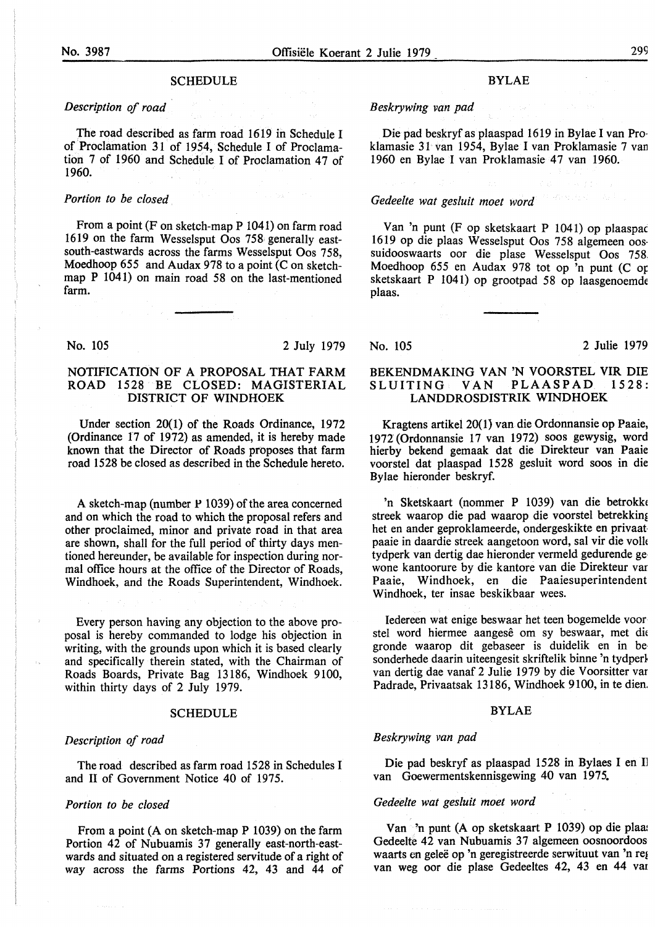#### *Description of road*

The road described as farm road 1619 in Schedule I of Proclamation 31 of 1954, Schedule I of Proclamation 7 of 1960 and Schedule I of Proclamation 47 of 1960.

#### *Portion to be closed*

From a point (F on sketch-map  $P$  1041) on farm road 1619 on the farm Wesselsput Oos 758 generally eastsouth-eastwards across the farms Wesselsput Oos 758, Moedhoop 655 and Audax 978 to a point  $\overline{(C \text{ on sketch-})}$ map P 1041) on main road 58 on the last-mentioned farm.

#### No. 105 2 July 1979

#### NOTIFICATION OF A PROPOSAL THAT FARM ROAD 1528 BE CLOSED: MAGISTERIAL DISTRICT OF WINDHOEK

Under section 20(1) of the Roads Ordinance, 1972 (Ordinance 17 of 1972) as amended, it is hereby made known that the Director of Roads proposes that farm road 1528 be closed as described in the Schedule hereto.

A sketch-map (number  $P$  1039) of the area concerned and on which the road to which the proposal refers and other proclaimed, minor and private road in that area are shown, shall for the full period of thirty days mentioned hereunder, be available for inspection during normal office hours at the office of the Director of Roads, Windhoek, and the Roads Superintendent, Windhoek.

Every person having any objection to the above proposal is hereby commanded to lodge his objection in writing, with the grounds upon which it is based clearly and specifically therein stated, with the Chairman of Roads Boards, Private Bag 13186, Windhoek 9100, within thirty days of 2 July 1979.

#### SCHEDULE

#### *Description of road*

The road described as farm road 1528 in Schedules I and II of Government Notice 40 of 1975.

#### *Portion to be closed*

From a point (A on sketch-map P 1039) on the farm Portion 42 of Nubuamis 37 generally east-north-eastwards and situated on a registered servitude of a right of way across the farms Portions 42, 43 and 44 of

#### BYLAE

#### *Beskrywing van pad*

Die pad beskryf as plaaspad 1619 in Bylae I van Proklamasie 31 van 1954, Bylae I van Proklamasie 7 van 1960 en Bylae I van Proklamasie 47 van 1960.

#### *Gedeelte wat gesluit moet word*

Van 'n punt (F op sketskaart P 1041) op plaaspac 1619 op die plaas Wesselsput Oos 758 algemeen oossuidooswaarts oor die plase Wesselsput Oos 758. Moedhoop 655 en Audax 978 tot op 'n punt (C op sketskaart P 1041) op grootpad 58 op laasgenoemde plaas.

No. 105 2 Julie 1979

#### **BEKENDMAKING VAN 'N** VOORSTEL VIR DIE  $SLUITING: VAN$ **LANDDROSDISTRIK WINDHOEK**

Kragtens artikel 20(1} van die Ordonnansie op Paaie, 1972' (Ordonnansie 17 van 1972) soos gewysig, word hierby bekend gemaak dat die Direkteur van Paaie voorstel dat plaaspad 1528 gesluit word soos in die Bylae hieronder beskryf.

'n Sketskaart (nommer P 1039) van die betrokki streek waarop die pad waarop die voorstel betrekking het en ander geproklameerde, ondergeskikte en privaat paaie in daardie streek aangetoon word, sal vir die volh tydperk van dertig dae hieronder vermeld gedurende ge wone kantoorure by die kantore van die Direkteur var Paaie, Windhoek, en die Paaiesuperintendent Windhoek, ter insae beskikbaar wees.

Iedereen wat enige beswaar het teen bogemelde voor stel word hiermee aangesê om sy beswaar, met die gronde waarop dit gebaseer is duidelik en in be sonderhede daarin uiteengesit skriftelik binne 'n tydperk van dertig dae vanaf 2 Julie 1979 by die Voorsitter var Padrade, Privaatsak 13186, Windhoek 9100, in te dien.

#### BYLAE

#### *Beskrywing van pad*

Die pad beskryf as plaaspad 1528 in Bylaes I en Il van Goewermentskennisgewing 40 van 1975.

#### *Gedeelte wat gesluit moet word*

Van 'n punt (A op sketskaart P 1039) op die plaa1 Gedeelte 42 van Nubuamis 37 algemeen oosnoordoos waarts en geleë op 'n geregistreerde serwituut van 'n reg van weg oor die plase Gedeeltes 42, 43 en 44 vat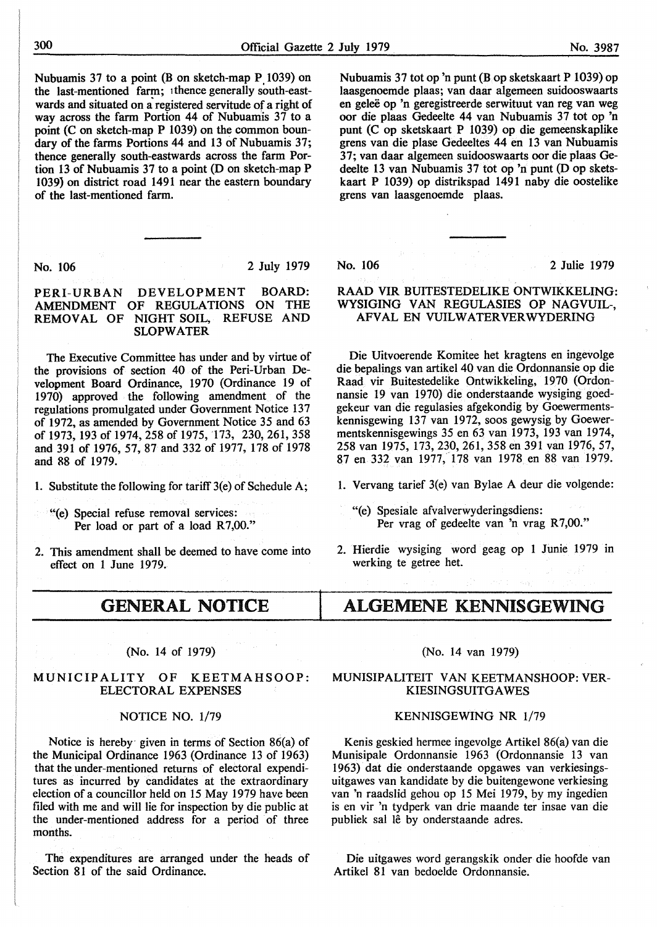Nubuamis 37 to a point (B on sketch-map  $P$  1039) on the last-mentioned farm; 1thence generally south-eastwards and situated on a registered servitude of a right of way across the farm Portion 44 of Nubuamis 37 to a point (C on sketch-map P 1039) on the common boundary of the farms Portions 44 and 13 of Nubuamis 37; thence generally south-eastwards across the farm Portion 13 of Nubuamis 37 to a point (D on sketch-map P 1039} on district road 1491 near the eastern boundary of the last-mentioned farm.

No. 106 2 July 1979

#### **PERI-URBAN DEVELOPMENT BOARD: AMENDMENT OF REGULATIONS ON** THE **REMOVAL** OF **NIGHT SOIL,** REFUSE AND **SLOPWATER**

The Executive Committee has under and by virtue of the provisions of section 40 of the Peri-Urban Development Board Ordinance, 1970 (Ordinance 19 of 1970) approved the following amendment of the regulations promulgated under Government Notice 137 of 1972, as amended by Government Notice 35 and 63 of 1973, 193 of 1974, 258 of 1975, 173, 230, 261, 358 and 391 of 1976, 57, 87 and 332 of 1977, 178 of 1978 and 88 of 1979.

- 1. Substitute the following for tariff 3(e) of Schedule A;
	- "(e) Special refuse removal services: Per load or part of a load R7,00."
- 2. This amendment shall be deemed to have come into effect on 1 June 1979.

GENERAL NOTICE

#### (No. 14 of 1979)

#### MUNICIPALITY OF KEETMAHSOOP: ELECTORAL EXPENSES

#### NOTICE NO. 1/79

Notice is hereby- given in terms of Section 86(a) of the Municipal Ordinance 1963 (Ordinance 13 of 1963) that the under-mentioned returns of electoral expenditures as incurred by candidates at the extraordinary election of a councillor held on 15 May 1979 have been filed with me and will lie for inspection by die public at the under-mentioned address for a period of three months.

The expenditures are arranged under the heads of Section 81 of the said Ordinance.

Nubuamis 37 tot op 'n punt (B op sketskaart P 1039) op laasgenoemde plaas; van daar algemeen suidooswaarts en gelee op 'n geregistreerde serwituut van reg van weg oor die plaas Gedeelte 44 van Nubuamis 37 tot op 'n punt (Cop sketskaart P 1039) op die gemeenskaplike grens van die plase Gedeeltes 44 en 13 van Nubuamis 37; van daar algemeen suidooswaarts oor die plaas Gedeelte 13 van Nubuamis 37 tot op 'n punt (D op sketskaart P 1039) op distrikspad 1491 naby die oostelike grens van laasgenoemde plaas.

No. 106 2 Julie 1979

#### RAAD VIR BUITESTEDELIKE ONTWIKKELING: WYSIGING VAN REGULASIES OP NAGVUIL-, AFVAL EN VUILWATERVERWYDERING

Die Uitvoerende Komitee het kragtens en ingevolge die bepalings van artikel 40 van die Ordonnansie op die Raad vir Buitestedelike Ontwikkeling, 1970 (Ordonnansie 19 van 1970) die onderstaande wysiging goedgekeur van die regulasies afgekondig by Goewermentskennisgewing 137 van 1972, soos gewysig by Goewermentskennisgewings 35 en 63 van 1973, 193 van 1974, 258 van 1975, 173,230,261,358 en 391 van 1976, 57, 87 en 332 van 1977, 178 van 1978 en 88 van 1979.

1. Vervang tarief 3(e) van Bylae A deur die volgende:

- "(e) Spesiale afvalverwyderingsdiens: Per vrag of gedeelte van 'n vrag R7,00."
- 2. Hierdie wysiging word geag op 1 Junie 1979 in werking te getree het.

## ALGEMENE KENNISGEWING

#### (No. 14 van 1979)

#### **MUNISIPALITEIT VAN KEETMANSHOOP: VER-KIESINGSUITGAWES**

#### **KENNISGEWING NR** 1/79

Kenis geskied hermee ingevolge Artikel 86(a) van die Munisipale Ordonnansie 1963 (Ordonnansie 13 van I 963) dat die onderstaande opgawes van verkiesingsuitgawes van kandidate by die buitengewone verkiesing van 'n raadslid gehou op 15 Mei 1979, by my ingedien is en vir 'n tydperk van drie maande ter insae van die publiek sal lê by onderstaande adres.

Die uitgawes word gerangskik onder die hoofde van Artikel 81 van bedoelde Ordonnansie.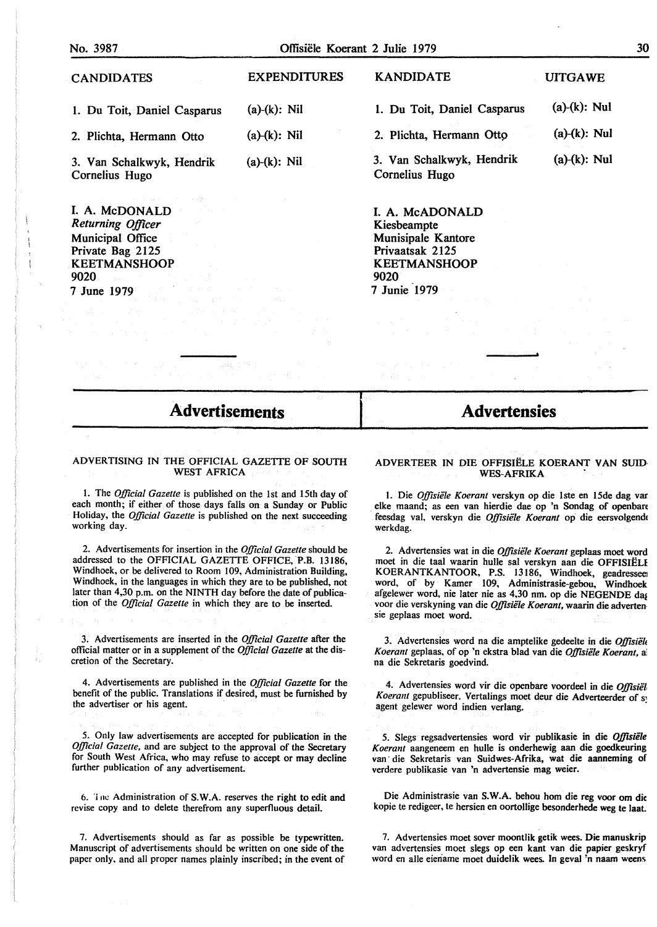| No. 3987                                                                                    | Offisiële Koerant 2 Julie 1979 | 30                                          |                 |
|---------------------------------------------------------------------------------------------|--------------------------------|---------------------------------------------|-----------------|
| <b>CANDIDATES</b>                                                                           | <b>EXPENDITURES</b>            | <b>KANDIDATE</b>                            | <b>UITGAWE</b>  |
| 1. Du Toit, Daniel Casparus                                                                 | $(a)-(k)$ : Nil                | 1. Du Toit, Daniel Casparus                 | $(a)-(k)$ : Nul |
| 2. Plichta, Hermann Otto                                                                    | $(a)-(k)$ : Nil                | 2. Plichta, Hermann Otto                    | $(a)-(k)$ : Nul |
| 3. Van Schalkwyk, Hendrik<br>Cornelius Hugo                                                 | $(a)-(k)$ : Nil                | 3. Van Schalkwyk, Hendrik<br>Cornelius Hugo | $(a)-(k)$ : Nul |
| construc-<br>$\mathcal{L}^{\mathcal{L}}(\mathcal{L}^{\mathcal{L}})$ , and<br>I. A. McDONALD |                                | I. A. McADONALD                             |                 |
| Returning Officer                                                                           |                                | Kiesbeampte                                 |                 |
| Municipal Office                                                                            |                                | Munisipale Kantore<br>Privaatsak 2125       |                 |
| Private Bag 2125                                                                            |                                |                                             |                 |
| <b>KEETMANSHOOP</b>                                                                         |                                | <b>KEETMANSHOOP</b>                         |                 |

9020

7 Junie 1979

**Advertisements** 

9020

7 June 1979

#### ADVERTISING IN THE OFFICIAL GAZETTE OF SOUTH **WEST AFRICA**

1. The *Official Gazette* is published on the 1st and 15th day of each month; if either of those days falls on a Sunday or Public Holiday, the *Official Gazette* is published on the next succeeding working day.

2. Advertisements for insertion in the *Official Gazette* should be addressed to the OFFICIAL GAZETTE OFFICE, **P.B. 13186,**  Windhoek, or be delivered to Room 109, Administration Building, Windhoek, in the languages in which they are to be published, not later than 4,30 p.m. on the NINTH day before the date of publication of the *Official Gazette* in which they are to be inserted.

3. Advertisements are inserted in the *Official Gazette* after the official matter or in a supplement of the *Official Gazette* at the discretion of the Secretary.

4. Advertisements are published in the *Official Gazette* for the benefit of the public. Translations if desired, must be furnished by the advertiser or his agent.

*5.* Only law advertisements are accepted for publication in the *Official Gazette,* and are subject to the approval of the Secretary for South West Africa, who may refuse to accept or may decline further publication of any advertisement.

6. 'inc Administration of **S.W.A.** reserves the right to edit and revise copy and to delete therefrom any superfluous detail.

7. Advertisements should as far as possible be typewritten. Manuscript of advertisements should be written on one side of the paper only. and all proper names plainly inscribed; in the event of

## **Advertensies**

#### ADVERTEER IN DIE OFFISIELE KOERANT VAN SUID· **WES-AFRIKA** .

1. Die *Offzsiele Koerant* verskyn op die lste en 15de dag var elke maand; as een van hierdie dae op 'n Sondag of openban · feesdag val, verskyn die *Offisiele Koerant* op die eersvolgendc werkdag.

2. Advertensies wat in die *Offisiele Koerant* geplaas moet word moet in die taal waarin hulle sal verskyn aan die OFFISIELI KOERANTKANTOOR, P.S. 13186, Windhoek, geadresseei word, of by Kamer 109, Administrasie-gebou, Windhoek afgelewer word, nie later nie as 4,30 nm. op die NEGENDE dai voor die verskyning van die *Offisiele Koerant,* waarin die adverten· sie geplaas moet word.

3. Advertensies word na die amptelike gedeelte in die *Offisiële Koerant* geplaas, of op 'n ekstra blad van die *Offisiele Koerant,* a, na die Sekretaris goedvind.

4. Advertensies word vir die openbare voordeel in die *Offisiet Koeram* gepubliseer. Vertalings moet deur die Adverteerder of s, agent gelewer word indien verlang.

5. Slegs regsadvertensies word vir publikasie in die Offisiële *Koerant* aangeneem en hulle is onderhewig aan die goedkeuring van· die Sekretaris van Suidwes-Afrika, wat die aanneming of verdere publikasie van 'n advertensie mag weier.

Die Administrasie van S. W.A. behou horn die reg voor om die kopie te redigeer, te hersien en oortollige besonderhede weg te laat.

7. Advertensies moet sover moontlik getik wees. Die manuskrip van advertensies moet slegs op een kant van die papier geskryf word en alle eieriame moet duidelik wees. In geval 'n naam weens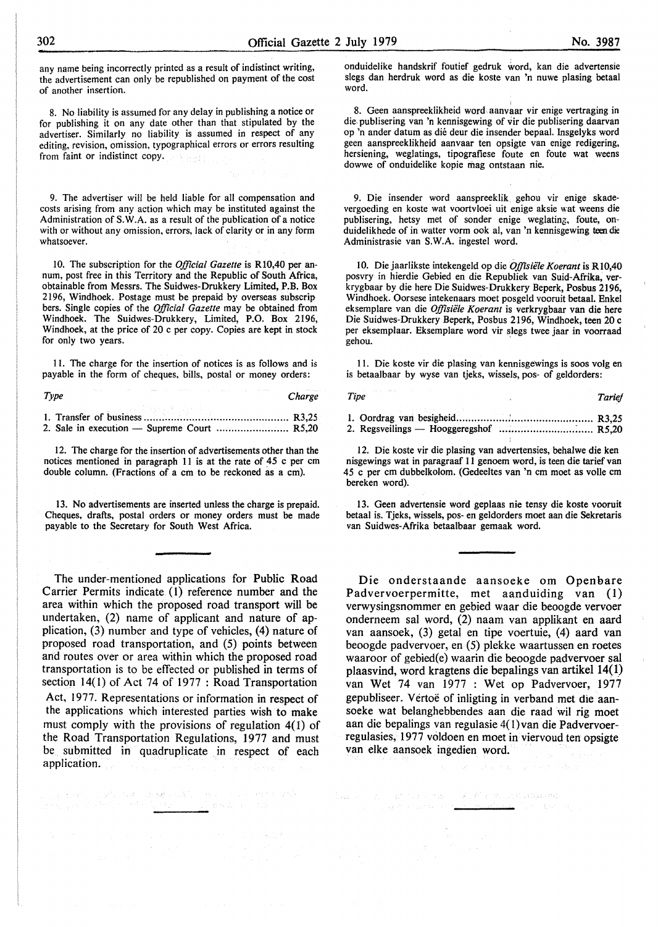any name being incorrectly printed as a result of indistinct writing, the advertisement can only be republished on payment of the cost of another insertion.

8. No liability is assumed for any delay in publishing a notice or for publishing it on any date other than that stipulated by the advertiser. Similarly no liability is assumed in respect of any editing, revision, omission, typographical errors or errors resulting from faint or indistinct copy.

9. The advertiser will be held liable for all compensation and costs arising from any action which may be instituted against the Administration of **S. W** .A. as a result of the publication of a notice with or without any omission, errors, lack of clarity or in any form whatsoever.

10. The subscription for the *Official Gazette* is Rl0,40 per annum, post free in this Territory and the Republic of South Africa, obtainable from Messrs. The Suidwes-Drukkery Limited, P.B. Box 2196, Windhoek. Postage must be prepaid by overseas subscrip bers. Single copies of the *Official Gazette* may be obtained from Windhoek. The Suidwes-Drukkery, Limited, P.O. Box 2196, Windhoek, at the price of 20 c per copy. Copies are kept in stock for only two years.

11. The charge for the insertion of notices is as follows and is payable in the form of cheques, bills, postal or money orders:

| Type | Charge |
|------|--------|

12. The charge for the insertion of advertisements other than the notices mentioned in paragraph 11 is at the rate of 45 c per cm double column. (Fractions of a cm to be reckoned as a cm).

13. No advertisements are inserted unless the charge is prepaid. Cheques, drafts, postal orders or money orders must be made payable to the Secretary for South West Africa.

The under-mentioned applications for Public Road Carrier Permits indicate (I) reference number and the area within which the proposed road transport will be undertaken, (2) name of applicant and nature of application, (3) number and type of vehicles, (4) nature of proposed road transportation, and (5) points between and routes over or area within which the proposed road transportation is to be effected or published in terms of section  $14(1)$  of Act 74 of 1977 : Road Transportation Act, 1977. Representations or information in respect of the applications which interested parties **wish** to **make**  must comply with the provisions of regulation 4(1) of the Road Transportation Regulations, 1977 and must be submitted in quadruplicate in respect of each application.

i sa kama sa sababar sa katika mata sa sa sa kale.<br>Manazarta sa kutoka sa katika <u>sa ka</u> sa sa sa sa sa sa sa sa sa

<u>n dia ma</u>

onduidelike handskrif foutief gedruk word, kan die advertensie slegs dan herdruk word as die koste van 'n nuwe plasing betaal word.

8. Geen aanspreeklikheid word aanvaar vir enige vertraging in die. publisering van 'n kennisgewing of vir die publisering daarvan op 'n antler datum as die deur die insender bepaal. Insgelyks word geen aanspreeklikheid aanvaar ten opsigte van enige redigering, hersiening, weglatings, tipografiese foute en foute wat weens dowwe of onduidelike kopie mag ontstaan nie.

9. Die insender word aanspreeklik gehou vir enige skadevergoeding en koste wat voortvloei uit enige aksie wat weens die publisering, hetsy met of sonder enige weglating, foute, onduidelikhede of in watter vorm ook al, van 'n kennisgewing teen die Administrasie van S.W.A. ingestel word.

10. Die jaarlikste intekengeld op die *Offisiële Koerant* is R10,40 posvry in hierdie Gebied en die Republiek van Suid-Afrika, verkrygbaar by die here Die Suidwes-Drukkery Beperk, Posbus 2196, Windhoek. Oorsese intekenaars moet posgeld vooruit betaal. Enke! eksemplare van die *Offisiële Koerant* is verkrygbaar van die here Die Suidwes-Drukkery Beperk, Posbus 2196, Windhoek, teen 20 c per eksemplaar. Eksemplare word vir slegs twee jaar in voorraad gehou.

11. Die koste vir die plasing van kennisgewings is soos volg en is betaalbaar by wyse van tjeks, wissels, pos- of geldorders:

| Tipe | Tarief |
|------|--------|
|      |        |
|      |        |

l 2. Die koste vir die plasing van advertensies, behalwe die ken nisgewings wat in paragraaf 11 genoem word, is teen die tarief van 45 c per cm dubbelkolom. (Gedeeltes van 'n cm moet as voile cm bereken word).

13. Geen advertensie word geplaas nie tensy die koste vooruit betaal is. Tjeks, wissels, pos- en geldorders moet aan die Sekretaris van Suidwes-Afrika betaalbaar gemaak word.

Die onderstaande aansoeke om Openbare Padvervoerpermitte, met aanduiding van (I) verwysingsnommer en gebied waar die beoogde vervoer onderneem sal word, (2) naam van applikant en aard van aansoek, (3) getal en tipe voertuie, (4) aard van beoogde padvervoer, en (5) plekke waartussen en roetes waaroor of gebied(e) waarin die beoogde padvervoer sal plaasvind, word kragtens die bepalings van artikel 14(1) van Wet 74 van 1977 : Wet op Padvervoer, 1977 gepubliseer. Vertoë of inligting in verband met die aansoeke wat belanghebbendes aan die raad wil rig moet aan die bepalings van regulasie 4( I)van die Padvervoerregulasies, 1977 voldoen en moet in viervoud ten opsigte van elke aansoek ingedien word.

 $\mathbb{E}_{\text{sym}}(\omega) = \langle \mathbf{1}, \mathbf{1} \rangle \langle \mathbf{1}, \mathbf{1} \rangle \langle \mathbf{1}, \mathbf{1} \rangle + \langle \mathbf{1}, \mathbf{1} \rangle \langle \mathbf{1}, \mathbf{1} \rangle \langle \mathbf{1}, \mathbf{1} \rangle \langle \mathbf{1}, \mathbf{1} \rangle \langle \mathbf{1}, \mathbf{1} \rangle \langle \mathbf{1}, \mathbf{1} \rangle \langle \mathbf{1}, \mathbf{1} \rangle \langle \mathbf{1}, \mathbf{1} \rangle$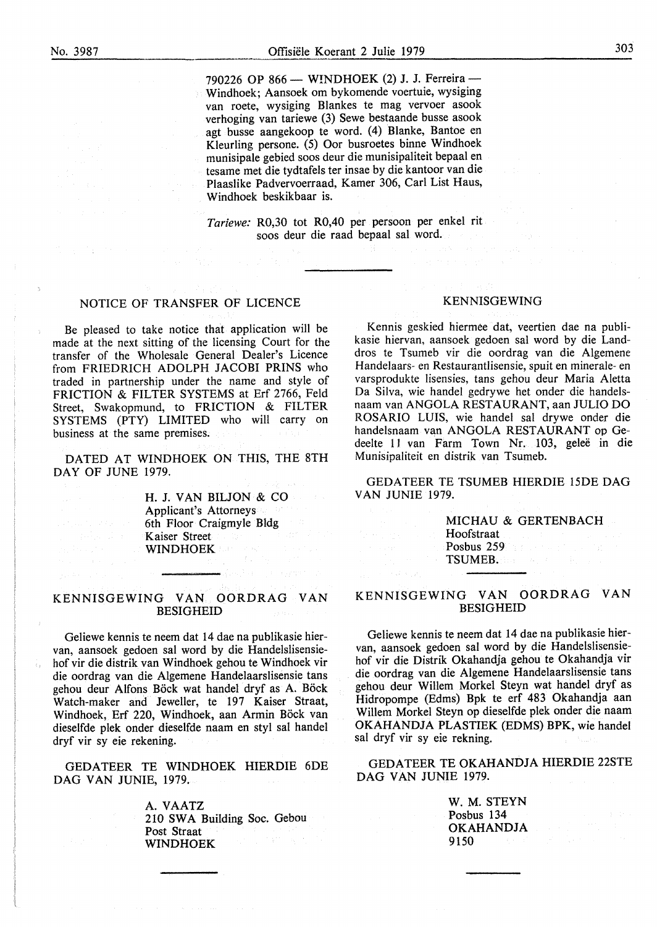÷.

790226 OP 866 - WINDHOEK (2) J. J. Ferreira -Windhoek; Aansoek om bykomende voertuie, wysiging van roete, wysiging Blankes te mag vervoer asook verhoging van tariewe (3) Sewe bestaande busse asook agt busse aangekoop te word. (4) Blanke, Bantoe en Kleurling persone. (5) Oor busroetes binne Windhoek munisipale gebied soos deur die munisipaliteit bepaal en tesame met die tydtafels ter insae by die kantoor van die Plaaslike Padvervoerraad, Kamer 306, Carl List Haus, Windhoek beskikbaar is.

*Tariewe:* R0,30 tot R0,40 per persoon per enkel rit soos deur die raad bepaal sal word.

#### NOTICE OF TRANSFER OF LICENCE

Be pleased to take notice that application will be made at the next sitting of the licensing Court for the transfer of the Wholesale General Dealer's Licence from FRIEDRICH ADOLPH JACOBI PRINS who traded in partnership under the name and style of FRICTION & FILTER SYSTEMS at Erf 2766, Feld Street, Swakopmund, to FRICTION & FILTER SYSTEMS (PTY) LIMITED who will carry on business at the same premises.

DATED AT WINDHOEK ON THIS, THE 8TH DAY OF JUNE 1979.

> H. J. VAN BILJON & CO Applicant's Attorneys 6th Floor Craigmyle Bldg Kaiser Street WINDHOEK

#### KENNISGEWING VAN OORDRAG VAN BESIGHEID

Geliewe kennis te neem dat 14 dae na publikasie hiervan, aansoek gedoen sal word by die Handelslisensiehof vir die distrik van Windhoek gehou te Windhoek vir die oordrag van die Algemene Handelaarslisensie tans gehou deur Alfons Böck wat handel dryf as A. Böck Watch-maker and Jeweller, te 197 Kaiser Straat, Windhoek, Erf 220, Windhoek, aan Armin Böck van dieselfde plek onder dieselfde naam en styl sal handel dryf vir sy eie rekening.

GEDATEER TE WINDHOEK HIERDIE 6DE DAG VAN JUNIE, 1979.

> A. VAATZ 210 SWA Building Soc. Gebou Post Straat **WINDHOEK**

#### KENNISGEWING

Kennis geskied hiermee dat, veertien dae na publikasie hiervan, aansoek gedoen sal word by die Landdros te Tsumeb vir die oordrag van die Algemene Handelaars- en Restaurantlisensie, spuit en minerale- en varsprodukte lisensies, tans gehou deur Maria Aletta Da Silva, wie handel gedrywe het onder die handelsnaam van ANGOLA RESTAURANT, aan JULIO DO ROSARIO LUIS, wie handel sal drywe onder die handelsnaam van ANGOLA RESTAURANT op Gedeelte 11 van Farm Town Nr. 103, gelee in die Munisipaliteit en distrik van Tsumeb.

GEDATEER TE TSUMEB HIERDIE 15DE DAG VAN JUNIE 1979.

> MICHAU & GERTENBACH Hoofstraat Posbus 259 TSUMEB.

#### KENNISGEWING VAN OORDRAG VAN BESIGHEID

Geliewe kennis te neem dat 14 dae na publikasie hiervan, aansoek gedoen sal word by die Handelslisensiehof vir die Distrik Okahandja gehou te Okahandja vir die oordrag van die Algemene Handelaarslisensie tans gehou deur Willem Morkel Steyn wat handel dryf as Hidropompe (Edms) Bpk te erf 483 Okahandja aan Willem Morkel Steyn op dieselfde plek onder die naam OKAHANDJA PLASTIEK (EDMS) BPK, wie handel sal dryf vir sy eie rekning.

GEDATEER TE OKAHANDJA HIERDIE 22STE DAG VAN JUNIE 1979.

> W. M. STEYN Posbus 134 OKAHANDJA 9150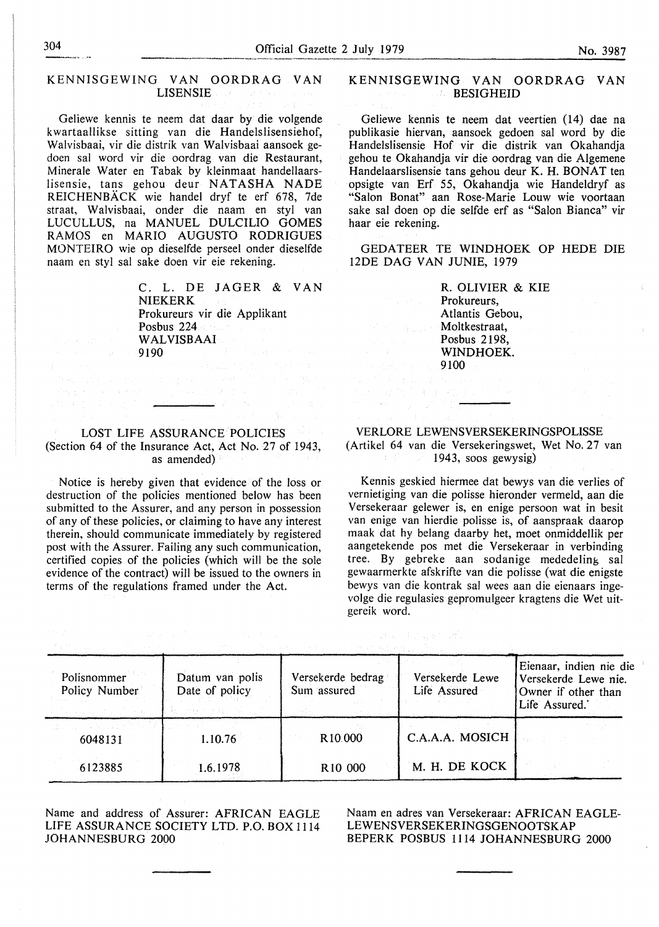$\mathcal{L}$ 

## KENNISGEWING VAN OORDRAG VAN LISENSIE

Geliewe kennis te neem dat daar by die volgende kwartaallikse sitting van die Handelslisensiehof, Walvisbaai, vir die distrik van Walvisbaai aansoek gedoen sal word vir die oordrag van die Restaurant, Minerale Water en Tabak by kleinmaat handellaarslisensie, tans gehou deur NATASHA NADE REICHENBACK wie handel dryf te erf 678, 7de straat, Walvisbaai, onder die naam en styl van LUCULLUS, na MANUEL DULCILIO GOMES RAMOS en MARIO AUGUSTO RODRIGUES MONTEIRO wie op dieselfde perseel onder dieselfde naam en styl sal sake doen vir eie rekening.

C. L. DE JAGER & VAN NIEKERK Prokureurs vir die Applikant Posbus 224 WALVISBAAI<br>9190 1919 – Andrej John Heim<mark>el, 19190</mark><br>1919 – Prince John Heimel, amerikanischer Politiker († 1919)<br>1919 – Andrej John Heimel, amerikanischer Politiker († 1919)<br>1919 – Andrej John Heimel, amerikanischer Politiker († 1919)

المرادي المسا

#### LOST LIFE ASSURANCE POLICIES (Section 64 of the Insurance Act, Act No. 27 of 1943, as amended)

Notice is hereby given that evidence of the loss or destruction of the policies mentioned below has been submitted to the Assurer, and any person in possession of any of these policies, or claiming to have any interest therein, should communicate immediately by registered post with the Assurer. Failing any such communication, certified copies of the policies (which will be the sole evidence of the contract) will be issued to the owners in terms of the regulations framed under the Act.

#### **KENNISGEWING VAN OORDRAG VAN BESIGHEID**

Geliewe kennis te neem dat veertien (14) dae na publikasie hiervan, aansoek gedoen sal word by die Handelslisensie Hof vir die distrik van Okahandja gehou te Okahandja vir die oordrag van die Algemene Handelaarslisensie tans gehou deur K. H. **BONAT** ten opsigte van Erf 55, Okahandja wie Handeldryf as "Salon Bonat" aan Rose-Marie Louw wie voortaan sake sal doen op die selfde erf as "Salon Bianca" vir haar eie rekening.

GEDATEER TE WINDHOEK OP HEDE DIE 12DE DAG VAN JUNIE, 1979

R. OLIVIER & KIE Prokureurs, Atlantis Gebou, Moltkestraat, Posbus 2198, WINDHOEK. 9100

## VERLORE LEWENSVERSEKERINGSPOLISSE

(最高) 建设 机接口

 $\mathcal{L}(\mathcal{A}) \cong \mathcal{L}^2(\mathcal{A}) \cong \mathcal{L}^2(\mathcal{A}_1, \mathbb{R}^2) \cong \mathcal{R}^2(\mathcal{A})$ 

(Artikel 64 van die Versekeringswet, Wet No. 27 van 1943, soos gewysig)

Kennis geskied hiermee dat bewys van die verlies of vernietiging van die polisse hieronder vermeld, aan die Versekeraar gelewer is, en enige persoon wat in besit van enige van hierdie polisse is, of aanspraak daarop maak dat hy belang daarby het, moet onmiddellik per aangetekende pos met die Versekeraar in verbinding tree. By gebreke aan sodanige mededeling sal gewaarmerkte afskrifte van die polisse (wat die enigste bewys van die kontrak sal wees aan die eienaars ingevolge die regulasies gepromulgeer kragtens die Wet uitgereik word.

| Polisnommer<br>Policy Number<br>and the company of the company of the second company of | Datum van polis<br>Date of policy<br>43 - 2014 - 2024 B.C. (St. 2020) | Versekerde bedrag<br>Sum assured | Versekerde Lewe<br>Life Assured | Eienaar, indien nie die<br>Versekerde Lewe nie.<br>Owner if other than<br>Life Assured. |
|-----------------------------------------------------------------------------------------|-----------------------------------------------------------------------|----------------------------------|---------------------------------|-----------------------------------------------------------------------------------------|
| しかいしょう しゅうしょうひ エンチネコ<br>6048131                                                         | 1.10.76                                                               | R <sub>10</sub> 000              | C.A.A.A. MOSICH                 |                                                                                         |
| 6123885                                                                                 | 1.6.1978                                                              | R <sub>10</sub> 000              | M. H. DE KOCK                   |                                                                                         |

Name and address of Assurer: AFRICAN EAGLE LIFE ASSURANCE SOCIETY LTD. P.O. BOX 1114 JOHANNESBURG 2000

Naam en adres van Versekeraar: AFRICAN EAGLE-LEWENSVERSEKERINGSGENOOTSKAP BEPERK POSBUS 1114 JOHANNESBURG 2000